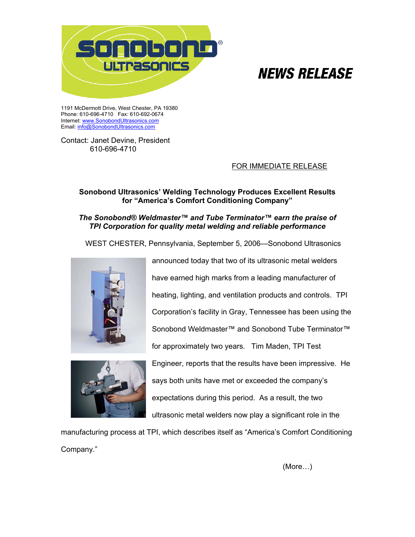

# **NEWS RELEASE**

1191 McDermott Drive, West Chester, PA 19380 Phone: 610-696-4710 Fax: 610-692-0674 Internet: [www.SonobondUltrasonics.com](http://www.sonobondultrasonic.com) Email: info@SonobondUltrasonics.com

Contact: Janet Devine, President 610-696-4710

## FOR IMMEDIATE RELEASE

# **Sonobond Ultrasonics' Welding Technology Produces Excellent Results for "America's Comfort Conditioning Company"**

## *The Sonobond® Weldmaster™ and Tube Terminator™ earn the praise of TPI Corporation for quality metal welding and reliable performance*

WEST CHESTER, Pennsylvania, September 5, 2006—Sonobond Ultrasonics





announced today that two of its ultrasonic metal welders have earned high marks from a leading manufacturer of heating, lighting, and ventilation products and controls. TPI Corporation's facility in Gray, Tennessee has been using the Sonobond Weldmaster™ and Sonobond Tube Terminator™ for approximately two years. Tim Maden, TPI Test Engineer, reports that the results have been impressive. He says both units have met or exceeded the company's expectations during this period. As a result, the two ultrasonic metal welders now play a significant role in the

manufacturing process at TPI, which describes itself as "America's Comfort Conditioning Company."

(More…)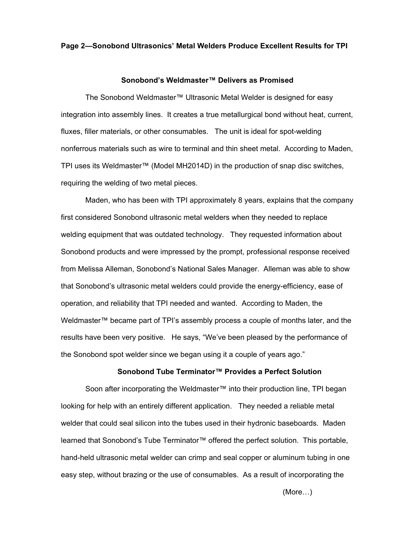#### **Page 2—Sonobond Ultrasonics' Metal Welders Produce Excellent Results for TPI**

#### **Sonobond's Weldmaster™ Delivers as Promised**

 The Sonobond Weldmaster™ Ultrasonic Metal Welder is designed for easy integration into assembly lines. It creates a true metallurgical bond without heat, current, fluxes, filler materials, or other consumables. The unit is ideal for spot-welding nonferrous materials such as wire to terminal and thin sheet metal. According to Maden, TPI uses its Weldmaster™ (Model MH2014D) in the production of snap disc switches, requiring the welding of two metal pieces.

Maden, who has been with TPI approximately 8 years, explains that the company first considered Sonobond ultrasonic metal welders when they needed to replace welding equipment that was outdated technology. They requested information about Sonobond products and were impressed by the prompt, professional response received from Melissa Alleman, Sonobond's National Sales Manager. Alleman was able to show that Sonobond's ultrasonic metal welders could provide the energy-efficiency, ease of operation, and reliability that TPI needed and wanted. According to Maden, the Weldmaster™ became part of TPI's assembly process a couple of months later, and the results have been very positive. He says, "We've been pleased by the performance of the Sonobond spot welder since we began using it a couple of years ago."

#### **Sonobond Tube Terminator™ Provides a Perfect Solution**

Soon after incorporating the Weldmaster™ into their production line, TPI began looking for help with an entirely different application. They needed a reliable metal welder that could seal silicon into the tubes used in their hydronic baseboards. Maden learned that Sonobond's Tube Terminator™ offered the perfect solution. This portable, hand-held ultrasonic metal welder can crimp and seal copper or aluminum tubing in one easy step, without brazing or the use of consumables. As a result of incorporating the

(More…)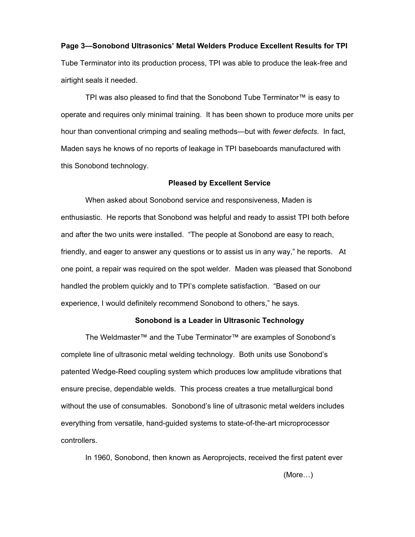# **Page 3—Sonobond Ultrasonics' Metal Welders Produce Excellent Results for TPI** Tube Terminator into its production process, TPI was able to produce the leak-free and airtight seals it needed.

TPI was also pleased to find that the Sonobond Tube Terminator™ is easy to operate and requires only minimal training. It has been shown to produce more units per hour than conventional crimping and sealing methods—but with *fewer defects.* In fact, Maden says he knows of no reports of leakage in TPI baseboards manufactured with this Sonobond technology.

#### **Pleased by Excellent Service**

When asked about Sonobond service and responsiveness, Maden is enthusiastic. He reports that Sonobond was helpful and ready to assist TPI both before and after the two units were installed. "The people at Sonobond are easy to reach, friendly, and eager to answer any questions or to assist us in any way," he reports. At one point, a repair was required on the spot welder. Maden was pleased that Sonobond handled the problem quickly and to TPI's complete satisfaction. "Based on our experience, I would definitely recommend Sonobond to others," he says.

#### **Sonobond is a Leader in Ultrasonic Technology**

The Weldmaster™ and the Tube Terminator™ are examples of Sonobond's complete line of ultrasonic metal welding technology. Both units use Sonobond's patented Wedge-Reed coupling system which produces low amplitude vibrations that ensure precise, dependable welds. This process creates a true metallurgical bond without the use of consumables. Sonobond's line of ultrasonic metal welders includes everything from versatile, hand-guided systems to state-of-the-art microprocessor controllers.

In 1960, Sonobond, then known as Aeroprojects, received the first patent ever

(More…)